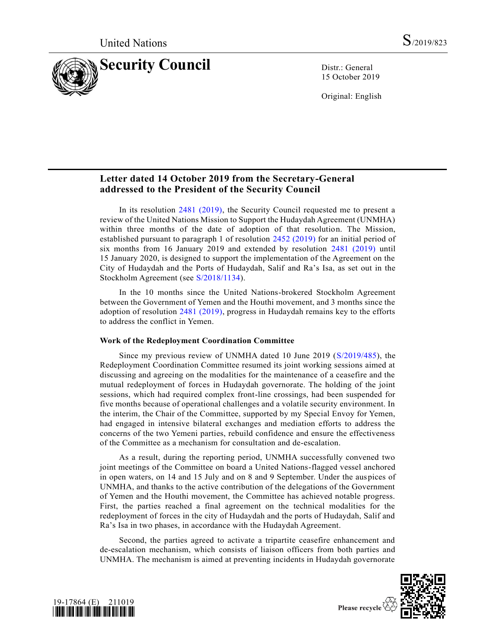

15 October 2019

Original: English

# **Letter dated 14 October 2019 from the Secretary-General addressed to the President of the Security Council**

In its resolution [2481 \(2019\),](https://undocs.org/en/S/RES/2481%20(2019)) the Security Council requested me to present a review of the United Nations Mission to Support the Hudaydah Agreement (UNMHA) within three months of the date of adoption of that resolution. The Mission, established pursuant to paragraph 1 of resolution [2452 \(2019\)](https://undocs.org/en/S/RES/2452%20(2019)) for an initial period of six months from 16 January 2019 and extended by resolution [2481 \(2019\)](https://undocs.org/en/S/RES/2481%20(2019)) until 15 January 2020, is designed to support the implementation of the Agreement on the City of Hudaydah and the Ports of Hudaydah, Salif and Ra's Isa, as set out in the Stockholm Agreement (see [S/2018/1134\)](https://undocs.org/en/S/2018/1134).

In the 10 months since the United Nations-brokered Stockholm Agreement between the Government of Yemen and the Houthi movement, and 3 months since the adoption of resolution [2481 \(2019\),](https://undocs.org/en/S/RES/2481%20(2019)) progress in Hudaydah remains key to the efforts to address the conflict in Yemen.

# **Work of the Redeployment Coordination Committee**

Since my previous review of UNMHA dated 10 June 2019 [\(S/2019/485\)](https://undocs.org/en/S/2019/485), the Redeployment Coordination Committee resumed its joint working sessions aimed at discussing and agreeing on the modalities for the maintenance of a ceasefire and the mutual redeployment of forces in Hudaydah governorate. The holding of the joint sessions, which had required complex front-line crossings, had been suspended for five months because of operational challenges and a volatile security environment. In the interim, the Chair of the Committee, supported by my Special Envoy for Yemen, had engaged in intensive bilateral exchanges and mediation efforts to address the concerns of the two Yemeni parties, rebuild confidence and ensure the effectiveness of the Committee as a mechanism for consultation and de-escalation.

As a result, during the reporting period, UNMHA successfully convened two joint meetings of the Committee on board a United Nations-flagged vessel anchored in open waters, on 14 and 15 July and on 8 and 9 September. Under the auspices of UNMHA, and thanks to the active contribution of the delegations of the Government of Yemen and the Houthi movement, the Committee has achieved notable progress. First, the parties reached a final agreement on the technical modalities for the redeployment of forces in the city of Hudaydah and the ports of Hudaydah, Salif and Ra's Isa in two phases, in accordance with the Hudaydah Agreement.

Second, the parties agreed to activate a tripartite ceasefire enhancement and de-escalation mechanism, which consists of liaison officers from both parties and UNMHA. The mechanism is aimed at preventing incidents in Hudaydah governorate



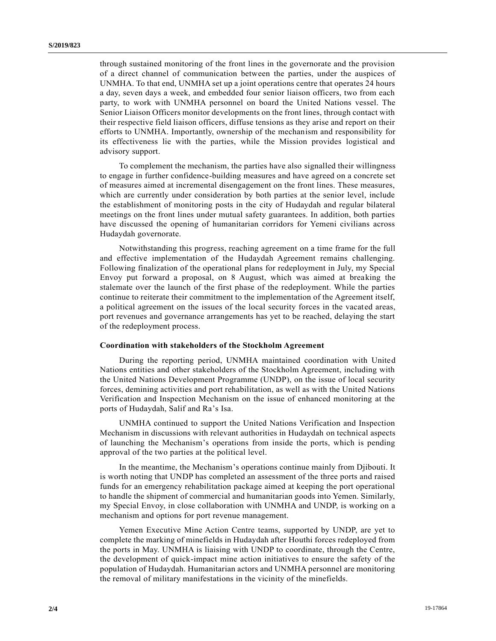through sustained monitoring of the front lines in the governorate and the provision of a direct channel of communication between the parties, under the auspices of UNMHA. To that end, UNMHA set up a joint operations centre that operates 24 hours a day, seven days a week, and embedded four senior liaison officers, two from each party, to work with UNMHA personnel on board the United Nations vessel. The Senior Liaison Officers monitor developments on the front lines, through contact with their respective field liaison officers, diffuse tensions as they arise and report on their efforts to UNMHA. Importantly, ownership of the mechanism and responsibility for its effectiveness lie with the parties, while the Mission provides logistical and advisory support.

To complement the mechanism, the parties have also signalled their willingness to engage in further confidence-building measures and have agreed on a concrete set of measures aimed at incremental disengagement on the front lines. These measures, which are currently under consideration by both parties at the senior level, include the establishment of monitoring posts in the city of Hudaydah and regular bilateral meetings on the front lines under mutual safety guarantees. In addition, both parties have discussed the opening of humanitarian corridors for Yemeni civilians across Hudaydah governorate.

Notwithstanding this progress, reaching agreement on a time frame for the full and effective implementation of the Hudaydah Agreement remains challenging. Following finalization of the operational plans for redeployment in July, my Special Envoy put forward a proposal, on 8 August, which was aimed at breaking the stalemate over the launch of the first phase of the redeployment. While the parties continue to reiterate their commitment to the implementation of the Agreement itself, a political agreement on the issues of the local security forces in the vacated areas, port revenues and governance arrangements has yet to be reached, delaying the start of the redeployment process.

#### **Coordination with stakeholders of the Stockholm Agreement**

During the reporting period, UNMHA maintained coordination with United Nations entities and other stakeholders of the Stockholm Agreement, including with the United Nations Development Programme (UNDP), on the issue of local security forces, demining activities and port rehabilitation, as well as with the United Nations Verification and Inspection Mechanism on the issue of enhanced monitoring at the ports of Hudaydah, Salif and Ra's Isa.

UNMHA continued to support the United Nations Verification and Inspection Mechanism in discussions with relevant authorities in Hudaydah on technical aspects of launching the Mechanism's operations from inside the ports, which is pending approval of the two parties at the political level.

In the meantime, the Mechanism's operations continue mainly from Djibouti. It is worth noting that UNDP has completed an assessment of the three ports and raised funds for an emergency rehabilitation package aimed at keeping the port operational to handle the shipment of commercial and humanitarian goods into Yemen. Similarly, my Special Envoy, in close collaboration with UNMHA and UNDP, is working on a mechanism and options for port revenue management.

Yemen Executive Mine Action Centre teams, supported by UNDP, are yet to complete the marking of minefields in Hudaydah after Houthi forces redeployed from the ports in May. UNMHA is liaising with UNDP to coordinate, through the Centre, the development of quick-impact mine action initiatives to ensure the safety of the population of Hudaydah. Humanitarian actors and UNMHA personnel are monitoring the removal of military manifestations in the vicinity of the minefields.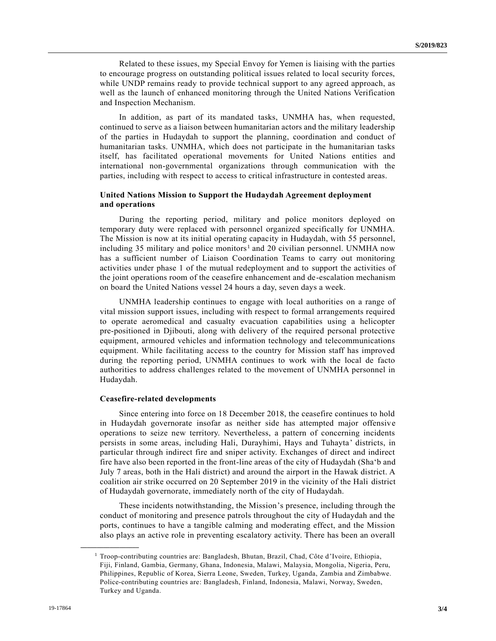Related to these issues, my Special Envoy for Yemen is liaising with the parties to encourage progress on outstanding political issues related to local security forces, while UNDP remains ready to provide technical support to any agreed approach, as well as the launch of enhanced monitoring through the United Nations Verification and Inspection Mechanism.

In addition, as part of its mandated tasks, UNMHA has, when requested, continued to serve as a liaison between humanitarian actors and the military leadership of the parties in Hudaydah to support the planning, coordination and conduct of humanitarian tasks. UNMHA, which does not participate in the humanitarian tasks itself, has facilitated operational movements for United Nations entities and international non-governmental organizations through communication with the parties, including with respect to access to critical infrastructure in contested areas.

# **United Nations Mission to Support the Hudaydah Agreement deployment and operations**

During the reporting period, military and police monitors deployed on temporary duty were replaced with personnel organized specifically for UNMHA. The Mission is now at its initial operating capacity in Hudaydah, with 55 personnel, including 35 military and police monitors<sup>1</sup> and 20 civilian personnel. UNMHA now has a sufficient number of Liaison Coordination Teams to carry out monitoring activities under phase 1 of the mutual redeployment and to support the activities of the joint operations room of the ceasefire enhancement and de-escalation mechanism on board the United Nations vessel 24 hours a day, seven days a week.

UNMHA leadership continues to engage with local authorities on a range of vital mission support issues, including with respect to formal arrangements required to operate aeromedical and casualty evacuation capabilities using a helicopter pre-positioned in Djibouti, along with delivery of the required personal protective equipment, armoured vehicles and information technology and telecommunications equipment. While facilitating access to the country for Mission staff has improved during the reporting period, UNMHA continues to work with the local de facto authorities to address challenges related to the movement of UNMHA personnel in Hudaydah.

### **Ceasefire-related developments**

Since entering into force on 18 December 2018, the ceasefire continues to hold in Hudaydah governorate insofar as neither side has attempted major offensive operations to seize new territory. Nevertheless, a pattern of concerning incidents persists in some areas, including Hali, Durayhimi, Hays and Tuhayta' districts, in particular through indirect fire and sniper activity. Exchanges of direct and indirect fire have also been reported in the front-line areas of the city of Hudaydah (Sha'b and July 7 areas, both in the Hali district) and around the airport in the Hawak district. A coalition air strike occurred on 20 September 2019 in the vicinity of the Hali district of Hudaydah governorate, immediately north of the city of Hudaydah.

These incidents notwithstanding, the Mission's presence, including through the conduct of monitoring and presence patrols throughout the city of Hudaydah and the ports, continues to have a tangible calming and moderating effect, and the Mission also plays an active role in preventing escalatory activity. There has been an overall

**\_\_\_\_\_\_\_\_\_\_\_\_\_\_\_\_\_\_**

<sup>1</sup> Troop-contributing countries are: Bangladesh, Bhutan, Brazil, Chad, Côte d'Ivoire, Ethiopia, Fiji, Finland, Gambia, Germany, Ghana, Indonesia, Malawi, Malaysia, Mongolia, Nigeria, Peru, Philippines, Republic of Korea, Sierra Leone, Sweden, Turkey, Uganda, Zambia and Zimbabwe. Police-contributing countries are: Bangladesh, Finland, Indonesia, Malawi, Norway, Sweden, Turkey and Uganda.